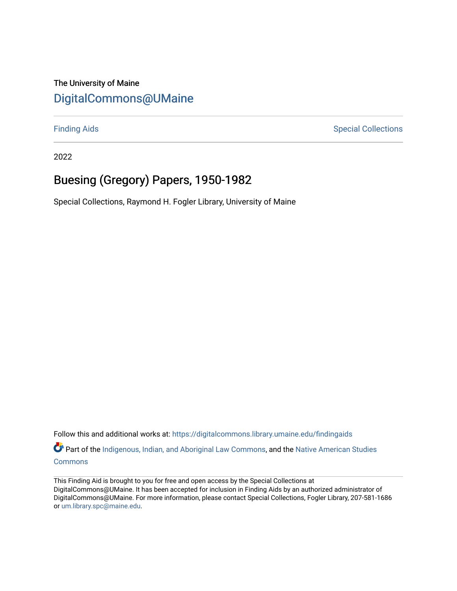# The University of Maine [DigitalCommons@UMaine](https://digitalcommons.library.umaine.edu/)

[Finding Aids](https://digitalcommons.library.umaine.edu/findingaids) **Special Collections** 

2022

# Buesing (Gregory) Papers, 1950-1982

Special Collections, Raymond H. Fogler Library, University of Maine

Follow this and additional works at: [https://digitalcommons.library.umaine.edu/findingaids](https://digitalcommons.library.umaine.edu/findingaids?utm_source=digitalcommons.library.umaine.edu%2Ffindingaids%2F523&utm_medium=PDF&utm_campaign=PDFCoverPages)

Part of the [Indigenous, Indian, and Aboriginal Law Commons](http://network.bepress.com/hgg/discipline/894?utm_source=digitalcommons.library.umaine.edu%2Ffindingaids%2F523&utm_medium=PDF&utm_campaign=PDFCoverPages), and the [Native American Studies](http://network.bepress.com/hgg/discipline/1434?utm_source=digitalcommons.library.umaine.edu%2Ffindingaids%2F523&utm_medium=PDF&utm_campaign=PDFCoverPages) [Commons](http://network.bepress.com/hgg/discipline/1434?utm_source=digitalcommons.library.umaine.edu%2Ffindingaids%2F523&utm_medium=PDF&utm_campaign=PDFCoverPages)

This Finding Aid is brought to you for free and open access by the Special Collections at DigitalCommons@UMaine. It has been accepted for inclusion in Finding Aids by an authorized administrator of DigitalCommons@UMaine. For more information, please contact Special Collections, Fogler Library, 207-581-1686 or [um.library.spc@maine.edu](mailto:um.library.spc@maine.edu).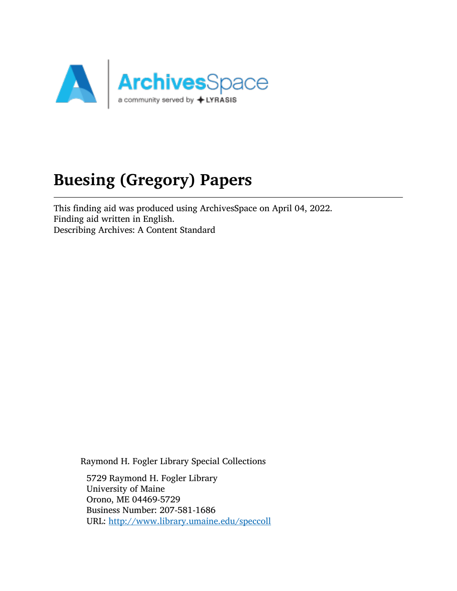

# Buesing (Gregory) Papers

This finding aid was produced using ArchivesSpace on April 04, 2022. Finding aid written in English. Describing Archives: A Content Standard

Raymond H. Fogler Library Special Collections

5729 Raymond H. Fogler Library University of Maine Orono, ME 04469-5729 Business Number: 207-581-1686 URL: <http://www.library.umaine.edu/speccoll>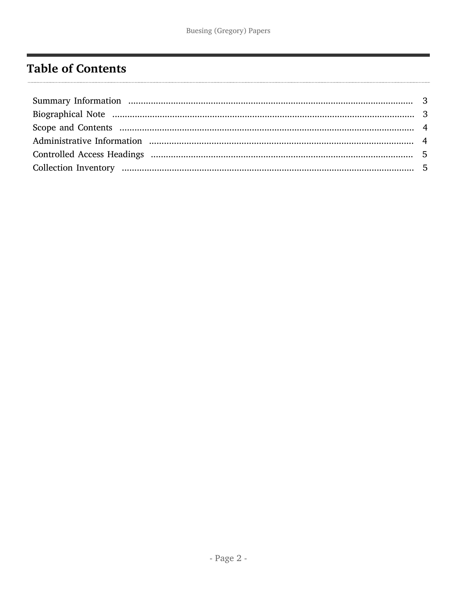# <span id="page-2-0"></span>**Table of Contents**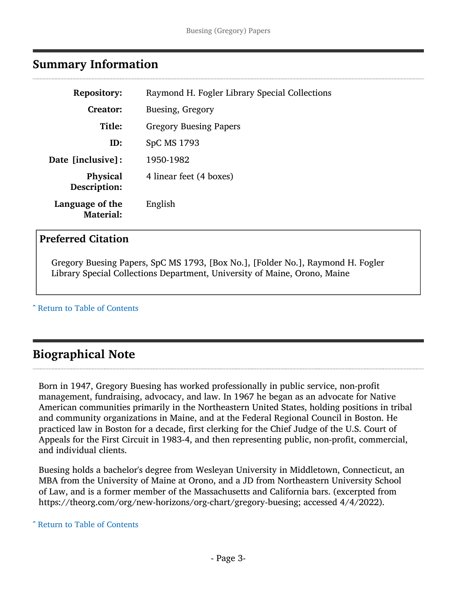## <span id="page-3-0"></span>Summary Information

| <b>Repository:</b>              | Raymond H. Fogler Library Special Collections |
|---------------------------------|-----------------------------------------------|
| Creator:                        | Buesing, Gregory                              |
| Title:                          | <b>Gregory Buesing Papers</b>                 |
| ID:                             | SpC MS 1793                                   |
| <b>Date [inclusive]:</b>        | 1950-1982                                     |
| <b>Physical</b><br>Description: | 4 linear feet (4 boxes)                       |
| Language of the<br>Material:    | English                                       |

#### Preferred Citation

Gregory Buesing Papers, SpC MS 1793, [Box No.], [Folder No.], Raymond H. Fogler Library Special Collections Department, University of Maine, Orono, Maine

^ [Return to Table of Contents](#page-2-0)

# <span id="page-3-1"></span>Biographical Note

Born in 1947, Gregory Buesing has worked professionally in public service, non-profit management, fundraising, advocacy, and law. In 1967 he began as an advocate for Native American communities primarily in the Northeastern United States, holding positions in tribal and community organizations in Maine, and at the Federal Regional Council in Boston. He practiced law in Boston for a decade, first clerking for the Chief Judge of the U.S. Court of Appeals for the First Circuit in 1983-4, and then representing public, non-profit, commercial, and individual clients.

Buesing holds a bachelor's degree from Wesleyan University in Middletown, Connecticut, an MBA from the University of Maine at Orono, and a JD from Northeastern University School of Law, and is a former member of the Massachusetts and California bars. (excerpted from https://theorg.com/org/new-horizons/org-chart/gregory-buesing; accessed 4/4/2022).

^ [Return to Table of Contents](#page-2-0)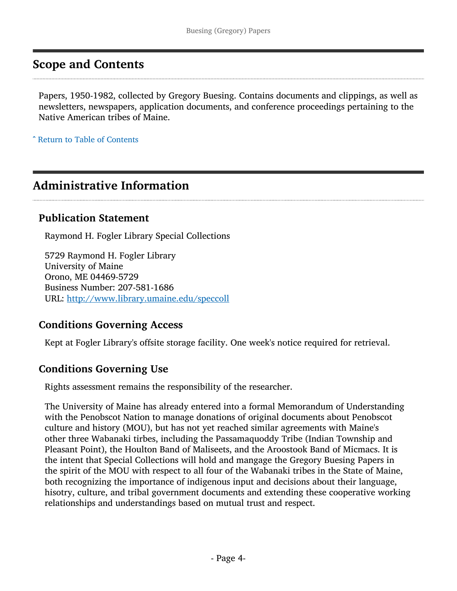# <span id="page-4-0"></span>Scope and Contents

Papers, 1950-1982, collected by Gregory Buesing. Contains documents and clippings, as well as newsletters, newspapers, application documents, and conference proceedings pertaining to the Native American tribes of Maine.

^ [Return to Table of Contents](#page-2-0)

# <span id="page-4-1"></span>Administrative Information

#### Publication Statement

Raymond H. Fogler Library Special Collections

5729 Raymond H. Fogler Library University of Maine Orono, ME 04469-5729 Business Number: 207-581-1686 URL: <http://www.library.umaine.edu/speccoll>

#### Conditions Governing Access

Kept at Fogler Library's offsite storage facility. One week's notice required for retrieval.

#### Conditions Governing Use

Rights assessment remains the responsibility of the researcher.

The University of Maine has already entered into a formal Memorandum of Understanding with the Penobscot Nation to manage donations of original documents about Penobscot culture and history (MOU), but has not yet reached similar agreements with Maine's other three Wabanaki tirbes, including the Passamaquoddy Tribe (Indian Township and Pleasant Point), the Houlton Band of Maliseets, and the Aroostook Band of Micmacs. It is the intent that Special Collections will hold and mangage the Gregory Buesing Papers in the spirit of the MOU with respect to all four of the Wabanaki tribes in the State of Maine, both recognizing the importance of indigenous input and decisions about their language, hisotry, culture, and tribal government documents and extending these cooperative working relationships and understandings based on mutual trust and respect.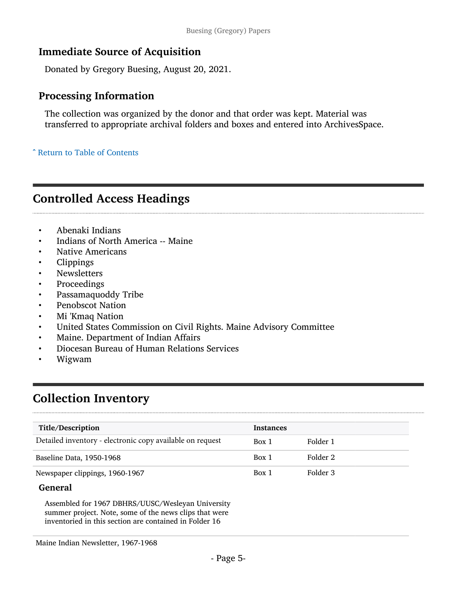### Immediate Source of Acquisition

Donated by Gregory Buesing, August 20, 2021.

# Processing Information

The collection was organized by the donor and that order was kept. Material was transferred to appropriate archival folders and boxes and entered into ArchivesSpace.

^ [Return to Table of Contents](#page-2-0)

# <span id="page-5-0"></span>Controlled Access Headings

- Abenaki Indians
- Indians of North America -- Maine
- Native Americans
- Clippings
- Newsletters
- Proceedings
- Passamaquoddy Tribe
- Penobscot Nation
- Mi 'Kmaq Nation
- United States Commission on Civil Rights. Maine Advisory Committee
- Maine. Department of Indian Affairs
- Diocesan Bureau of Human Relations Services
- Wigwam

# <span id="page-5-1"></span>Collection Inventory

| Title/Description                                         | <b>Instances</b> |          |
|-----------------------------------------------------------|------------------|----------|
| Detailed inventory - electronic copy available on request | Box 1            | Folder 1 |
| Baseline Data, 1950-1968                                  | Box 1            | Folder 2 |
| Newspaper clippings, 1960-1967                            | Box 1            | Folder 3 |

#### General

Assembled for 1967 DBHRS/UUSC/Wesleyan University summer project. Note, some of the news clips that were inventoried in this section are contained in Folder 16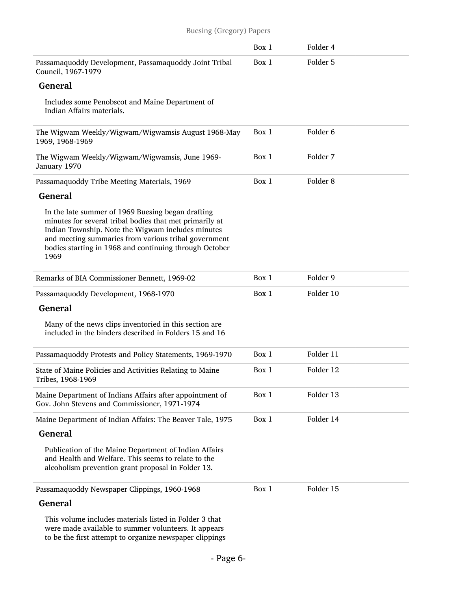#### Buesing (Gregory) Papers

|                                                                                                                                                                                                                                                                                             | Box 1 | Folder 4            |  |
|---------------------------------------------------------------------------------------------------------------------------------------------------------------------------------------------------------------------------------------------------------------------------------------------|-------|---------------------|--|
| Passamaquoddy Development, Passamaquoddy Joint Tribal<br>Council, 1967-1979                                                                                                                                                                                                                 | Box 1 | Folder 5            |  |
| <b>General</b>                                                                                                                                                                                                                                                                              |       |                     |  |
| Includes some Penobscot and Maine Department of<br>Indian Affairs materials.                                                                                                                                                                                                                |       |                     |  |
| The Wigwam Weekly/Wigwam/Wigwamsis August 1968-May<br>1969, 1968-1969                                                                                                                                                                                                                       | Box 1 | Folder <sub>6</sub> |  |
| The Wigwam Weekly/Wigwam/Wigwamsis, June 1969-<br>January 1970                                                                                                                                                                                                                              | Box 1 | Folder 7            |  |
| Passamaquoddy Tribe Meeting Materials, 1969                                                                                                                                                                                                                                                 | Box 1 | Folder <sub>8</sub> |  |
| General                                                                                                                                                                                                                                                                                     |       |                     |  |
| In the late summer of 1969 Buesing began drafting<br>minutes for several tribal bodies that met primarily at<br>Indian Township. Note the Wigwam includes minutes<br>and meeting summaries from various tribal government<br>bodies starting in 1968 and continuing through October<br>1969 |       |                     |  |
| Remarks of BIA Commissioner Bennett, 1969-02                                                                                                                                                                                                                                                | Box 1 | Folder 9            |  |
| Passamaquoddy Development, 1968-1970                                                                                                                                                                                                                                                        | Box 1 | Folder 10           |  |
| <b>General</b>                                                                                                                                                                                                                                                                              |       |                     |  |
| Many of the news clips inventoried in this section are<br>included in the binders described in Folders 15 and 16                                                                                                                                                                            |       |                     |  |
| Passamaquoddy Protests and Policy Statements, 1969-1970                                                                                                                                                                                                                                     | Box 1 | Folder 11           |  |
| State of Maine Policies and Activities Relating to Maine<br>Tribes, 1968-1969                                                                                                                                                                                                               | Box 1 | Folder 12           |  |
| Maine Department of Indians Affairs after appointment of<br>Gov. John Stevens and Commissioner, 1971-1974                                                                                                                                                                                   | Box 1 | Folder 13           |  |
| Maine Department of Indian Affairs: The Beaver Tale, 1975                                                                                                                                                                                                                                   | Box 1 | Folder 14           |  |
| <b>General</b>                                                                                                                                                                                                                                                                              |       |                     |  |
| Publication of the Maine Department of Indian Affairs<br>and Health and Welfare. This seems to relate to the<br>alcoholism prevention grant proposal in Folder 13.                                                                                                                          |       |                     |  |
| Passamaquoddy Newspaper Clippings, 1960-1968                                                                                                                                                                                                                                                | Box 1 | Folder 15           |  |
| <b>General</b>                                                                                                                                                                                                                                                                              |       |                     |  |
| This volume includes materials listed in Folder 3 that<br>were made available to summer volunteers. It annears                                                                                                                                                                              |       |                     |  |

were made available to summer volunteers. It appears to be the first attempt to organize newspaper clippings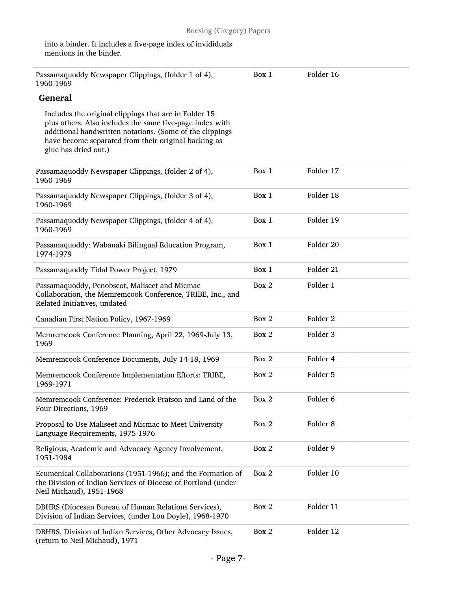| Passamaquoddy Newspaper Clippings, (folder 1 of 4),<br>1960-1969                                                                                                                                                                                              | Box 1 | Folder 16           |
|---------------------------------------------------------------------------------------------------------------------------------------------------------------------------------------------------------------------------------------------------------------|-------|---------------------|
| <b>General</b>                                                                                                                                                                                                                                                |       |                     |
| Includes the original clippings that are in Folder 15<br>plus others. Also includes the same five-page index with<br>additional handwritten notations. (Some of the clippings<br>have become separated from their original backing as<br>glue has dried out.) |       |                     |
| Passamaquoddy Newspaper Clippings, (folder 2 of 4),<br>1960-1969                                                                                                                                                                                              | Box 1 | Folder 17           |
| Passamaquoddy Newspaper Clippings, (folder 3 of 4),<br>1960-1969                                                                                                                                                                                              | Box 1 | Folder 18           |
| Passamaquoddy Newspaper Clippings, (folder 4 of 4),<br>1960-1969                                                                                                                                                                                              | Box 1 | Folder 19           |
| Passamaquoddy: Wabanaki Bilingual Education Program,<br>1974-1979                                                                                                                                                                                             | Box 1 | Folder 20           |
| Passamaquoddy Tidal Power Project, 1979                                                                                                                                                                                                                       | Box 1 | Folder 21           |
| Passamaquoddy, Penobscot, Maliseet and Micmac<br>Collaboration, the Memremcook Conference, TRIBE, Inc., and<br>Related Initiatives, undated                                                                                                                   | Box 2 | Folder 1            |
| Canadian First Nation Policy, 1967-1969                                                                                                                                                                                                                       | Box 2 | Folder <sub>2</sub> |
| Memremcook Conference Planning, April 22, 1969-July 13,<br>1969                                                                                                                                                                                               | Box 2 | Folder <sub>3</sub> |
| Memremcook Conference Documents, July 14-18, 1969                                                                                                                                                                                                             | Box 2 | Folder 4            |
| Memremcook Conference Implementation Efforts: TRIBE,<br>1969-1971                                                                                                                                                                                             | Box 2 | Folder 5            |
| Memremcook Conference: Frederick Pratson and Land of the<br>Four Directions, 1969                                                                                                                                                                             | Box 2 | Folder <sub>6</sub> |
| Proposal to Use Maliseet and Micmac to Meet University<br>Language Requirements, 1975-1976                                                                                                                                                                    | Box 2 | Folder 8            |
| Religious, Academic and Advocacy Agency Involvement,<br>1951-1984                                                                                                                                                                                             | Box 2 | Folder 9            |
| Ecumenical Collaborations (1951-1966); and the Formation of<br>the Division of Indian Services of Diocese of Portland (under<br>Neil Michaud), 1951-1968                                                                                                      | Box 2 | Folder 10           |
| DBHRS (Diocesan Bureau of Human Relations Services),<br>Division of Indian Services, (under Lou Doyle), 1968-1970                                                                                                                                             | Box 2 | Folder 11           |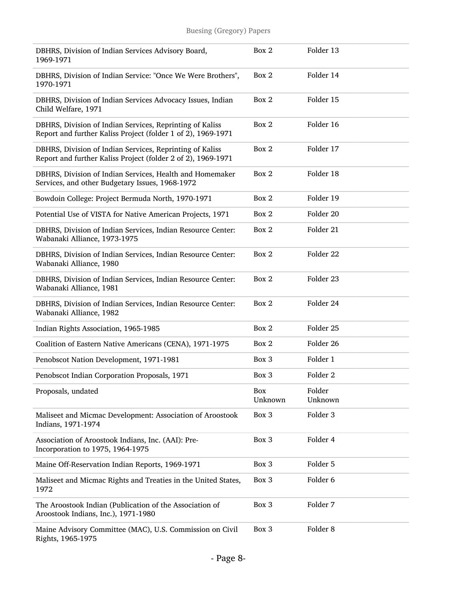| DBHRS, Division of Indian Services Advisory Board,<br>1969-1971                                                          | Box 2          | Folder 13            |
|--------------------------------------------------------------------------------------------------------------------------|----------------|----------------------|
| DBHRS, Division of Indian Service: "Once We Were Brothers",<br>1970-1971                                                 | Box 2          | Folder 14            |
| DBHRS, Division of Indian Services Advocacy Issues, Indian<br>Child Welfare, 1971                                        | Box 2          | Folder 15            |
| DBHRS, Division of Indian Services, Reprinting of Kaliss<br>Report and further Kaliss Project (folder 1 of 2), 1969-1971 | Box 2          | Folder 16            |
| DBHRS, Division of Indian Services, Reprinting of Kaliss<br>Report and further Kaliss Project (folder 2 of 2), 1969-1971 | Box 2          | Folder 17            |
| DBHRS, Division of Indian Services, Health and Homemaker<br>Services, and other Budgetary Issues, 1968-1972              | Box 2          | Folder 18            |
| Bowdoin College: Project Bermuda North, 1970-1971                                                                        | Box 2          | Folder 19            |
| Potential Use of VISTA for Native American Projects, 1971                                                                | Box 2          | Folder 20            |
| DBHRS, Division of Indian Services, Indian Resource Center:<br>Wabanaki Alliance, 1973-1975                              | Box 2          | Folder 21            |
| DBHRS, Division of Indian Services, Indian Resource Center:<br>Wabanaki Alliance, 1980                                   | Box 2          | Folder <sub>22</sub> |
| DBHRS, Division of Indian Services, Indian Resource Center:<br>Wabanaki Alliance, 1981                                   | Box 2          | Folder 23            |
| DBHRS, Division of Indian Services, Indian Resource Center:<br>Wabanaki Alliance, 1982                                   | Box 2          | Folder 24            |
| Indian Rights Association, 1965-1985                                                                                     | Box 2          | Folder 25            |
| Coalition of Eastern Native Americans (CENA), 1971-1975                                                                  | Box 2          | Folder 26            |
| Penobscot Nation Development, 1971-1981                                                                                  | Box 3          | Folder 1             |
| Penobscot Indian Corporation Proposals, 1971                                                                             | Box 3          | Folder <sub>2</sub>  |
| Proposals, undated                                                                                                       | Box<br>Unknown | Folder<br>Unknown    |
| Maliseet and Micmac Development: Association of Aroostook<br>Indians, 1971-1974                                          | Box 3          | Folder 3             |
| Association of Aroostook Indians, Inc. (AAI): Pre-<br>Incorporation to 1975, 1964-1975                                   | Box 3          | Folder 4             |
| Maine Off-Reservation Indian Reports, 1969-1971                                                                          | Box 3          | Folder 5             |
| Maliseet and Micmac Rights and Treaties in the United States,<br>1972                                                    | Box 3          | Folder 6             |
| The Aroostook Indian (Publication of the Association of<br>Aroostook Indians, Inc.), 1971-1980                           | Box 3          | Folder 7             |
| Maine Advisory Committee (MAC), U.S. Commission on Civil<br>Rights, 1965-1975                                            | Box 3          | Folder <sub>8</sub>  |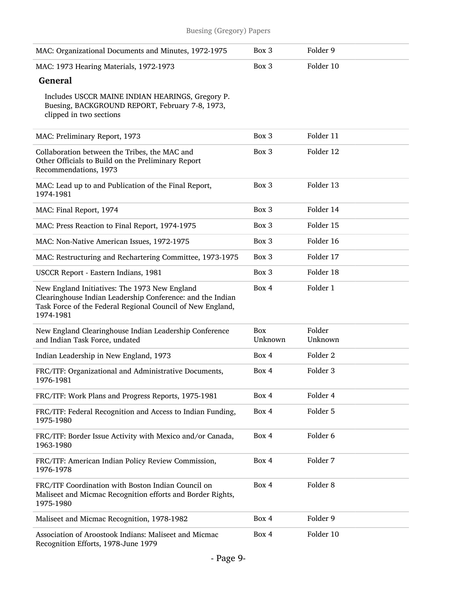| MAC: Organizational Documents and Minutes, 1972-1975                                                                                                                                   | Box 3                 | Folder 9            |
|----------------------------------------------------------------------------------------------------------------------------------------------------------------------------------------|-----------------------|---------------------|
| MAC: 1973 Hearing Materials, 1972-1973                                                                                                                                                 | Box 3                 | Folder 10           |
| <b>General</b>                                                                                                                                                                         |                       |                     |
| Includes USCCR MAINE INDIAN HEARINGS, Gregory P.<br>Buesing, BACKGROUND REPORT, February 7-8, 1973,<br>clipped in two sections                                                         |                       |                     |
| MAC: Preliminary Report, 1973                                                                                                                                                          | Box 3                 | Folder 11           |
| Collaboration between the Tribes, the MAC and<br>Other Officials to Build on the Preliminary Report<br>Recommendations, 1973                                                           | Box 3                 | Folder 12           |
| MAC: Lead up to and Publication of the Final Report,<br>1974-1981                                                                                                                      | Box 3                 | Folder 13           |
| MAC: Final Report, 1974                                                                                                                                                                | Box 3                 | Folder 14           |
| MAC: Press Reaction to Final Report, 1974-1975                                                                                                                                         | Box 3                 | Folder 15           |
| MAC: Non-Native American Issues, 1972-1975                                                                                                                                             | Box 3                 | Folder 16           |
| MAC: Restructuring and Rechartering Committee, 1973-1975                                                                                                                               | Box 3                 | Folder 17           |
| USCCR Report - Eastern Indians, 1981                                                                                                                                                   | Box 3                 | Folder 18           |
| New England Initiatives: The 1973 New England<br>Clearinghouse Indian Leadership Conference: and the Indian<br>Task Force of the Federal Regional Council of New England,<br>1974-1981 | Box 4                 | Folder 1            |
| New England Clearinghouse Indian Leadership Conference<br>and Indian Task Force, undated                                                                                               | <b>Box</b><br>Unknown | Folder<br>Unknown   |
| Indian Leadership in New England, 1973                                                                                                                                                 | Box 4                 | Folder <sub>2</sub> |
| FRC/ITF: Organizational and Administrative Documents,<br>1976-1981                                                                                                                     | Box 4                 | Folder <sub>3</sub> |
| FRC/ITF: Work Plans and Progress Reports, 1975-1981                                                                                                                                    | Box 4                 | Folder 4            |
| FRC/ITF: Federal Recognition and Access to Indian Funding,<br>1975-1980                                                                                                                | Box 4                 | Folder 5            |
| FRC/ITF: Border Issue Activity with Mexico and/or Canada,<br>1963-1980                                                                                                                 | Box 4                 | Folder 6            |
| FRC/ITF: American Indian Policy Review Commission,<br>1976-1978                                                                                                                        | Box 4                 | Folder 7            |
| FRC/ITF Coordination with Boston Indian Council on<br>Maliseet and Micmac Recognition efforts and Border Rights,<br>1975-1980                                                          | Box 4                 | Folder <sub>8</sub> |
| Maliseet and Micmac Recognition, 1978-1982                                                                                                                                             | Box 4                 | Folder 9            |
| Association of Aroostook Indians: Maliseet and Micmac<br>Recognition Efforts, 1978-June 1979                                                                                           | Box 4                 | Folder 10           |